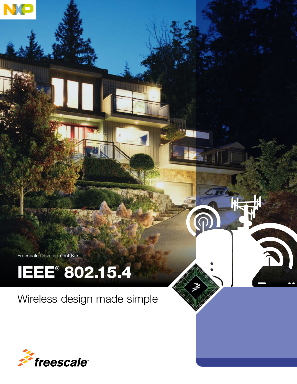Freescale Development Kits

# IEEE® 802.15.4

Wireless design made simple

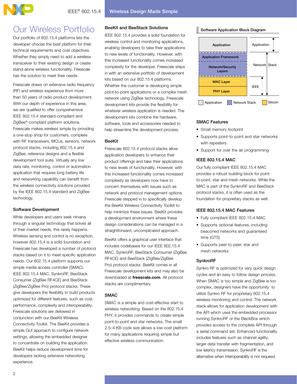# Our Wireless Portfolio

Our portfolio of 802.15.4 platforms lets the developer choose the best platform for their technical requirements and cost objectives. Whether they simply need to add a wireless transceiver to their existing design or create stand-alone wireless functionality, Freescale has the solution to meet their needs.

Freescale draws on extensive radio frequency (RF) and wireless experience from more than 50 years of radio product development. With our depth of experience in this area, we are qualified to offer comprehensive IEEE 802.15.4 standard-compliant and ZigBee®-compliant platform solutions. Freescale makes wireless simple by providing a one-stop shop for customers, complete with RF transceivers, MCUs, sensors, network protocol stacks, including 802.15.4 and ZigBee, reference designs and a flexible development tool suite. Virtually any low data rate, monitoring, control or automation application that requires long battery life and networking capability can benefit from the wireless connectivity solutions provided by the IEEE 802.15.4 standard and ZigBee technology.

# Software Development

While developers and users seek nirvana through a singular technology that solves all of their market needs, this rarely happens. Wireless sensing and control is no exception, however 802.15.4 is a solid foundation and Freescale has developed a number of protocol stacks based on it to meet specific application needs. Our 802.15.4 platform supports our simple media access controller (SMAC), IEEE 802.15.4 MAC, SynkroRF, BeeStack Consumer (ZigBee RF4CE) and BeeStack (ZigBee/ZigBee Pro) protocol stacks. These give developers the flexibility to build products optimized for different features, such as cost, performance, complexity and interoperability. Freescale solutions are delivered in conjunction with our BeeKit Wireless Connectivity Toolkit. The BeeKit provides a simple GUI approach to configure network settings, allowing the embedded designer to concentrate on building the application. BeeKit helps reduce development time for developers lacking extensive networking experience.

# BeeKit and BeeStack Solutions

IEEE 802.15.4 provides a solid foundation for wireless control and monitoring applications, enabling developers to take their applications to new levels of functionality. However, with this increased functionality comes increased complexity for the developer. Freescale steps in with an extensive portfolio of development kits based on our 802.15.4 platforms. Whether the customer is developing simple point-to-point applications or a complex mesh network using ZigBee technology, Freescale development kits provide the flexibility for whatever wireless application is needed. The development kits combine the hardware, software, tools and accessories needed to help streamline the development process.

# BeeKit

Freescale 802.15.4 protocol stacks allow application developers to enhance their product offerings and take their applications to new levels of functionality. However, with this increased functionality comes increased complexity as developers now have to concern themselves with issues such as network and protocol management options. Freescale stepped in to specifically develop the BeeKit Wireless Connectivity Toolkit to help minimize these issues. BeeKit provides a development environment where these design considerations can be managed in a straightforward, uncomplicated approach.

BeeKit offers a graphical user interface that includes codebases for our IEEE 802.15.4 MAC, SynkroRF, BeeStack Consumer (ZigBee RF4CE) and BeeStack (ZigBee/ZigBee Pro) protocol stacks. BeeKit comes in all Freescale development kits and may also be downloaded at freescale.com. All protocol stacks are complimentary.

# SMAC

SMAC is a simple and cost-effective start to wireless networking. Based on the 802.15.4 PHY, it provides commands to create simple point-to-point and star networks. The small 2.5–4 KB code size allows a low-cost platform for many applications requiring simple but effective wireless communication.

#### Software Application Block Diagram



#### SMAC Features

- Small memory footprint
- Supports point-to-point and star networks with repeaters
- Support for over the air programming

# IEEE 802.15.4 MAC

Our fully compliant IEEE 802.15.4 MAC provides a robust building block for pointto-point, star and mesh networks. While the MAC is part of the SynkroRF and BeeStack protocol stacks, it is often used as the foundation for proprietary stacks as well.

# IEEE 802.15.4 MAC Features

- Fully compliant IEEE 802.15.4 MAC
- Supports optional features, including beaconed networks and guaranteed time (GTS)
- Supports peer-to-peer, star and mesh networks

# **SynkroRF**

Synkro RF is optimized for very quick design cycles and an easy to follow design process. When SMAC is too simple and ZigBee is too complex, designers have the opportunity to utilize Synkro RF for proprietary 802.15.4 wireless monitoring and control. The network stack allows for application development with the API which uses the embedded processor running SynkroRF or the BlackBox which provides access to the complete API through a serial command set. Enhanced functionality includes features such as channel agility, larger data transfer with fragmentation, and low latency transmission. SynkroRF is the alternative when interoperability is not required.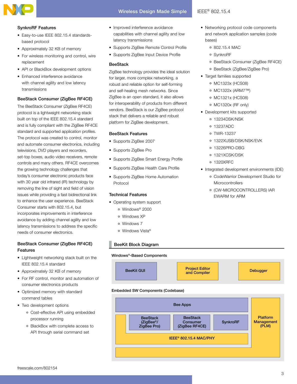

#### SynkroRF Features

- Easy-to-use IEEE 802.15.4 standardsbased protocol
- Approximately 32 KB of memory
- For wireless monitoring and control, wire replacement
- API or BlackBox development options
- Enhanced interference avoidance with channel agility and low latency transmissions

# BeeStack Consumer (ZigBee RF4CE)

The BeeStack Consumer (ZigBee RF4CE) protocol is a lightweight networking stack built on top of the IEEE 802.15.4 standard and is fully compliant with the ZigBee RF4CE standard and supported application profiles. The protocol was created to control, monitor and automate consumer electronics, including televisions, DVD players and recorders, set-top boxes, audio video receivers, remote controls and many others. RF4CE overcomes the growing technology challenges that today's consumer electronic products face with 30 year old infrared (IR) technology by removing the line of sight and field of vision issues while providing a fast bidirectional link to enhance the user experience. BeeStack Consumer starts with 802.15.4, but incorporates improvements in interference avoidance by adding channel agility and low latency transmissions to address the specific needs of consumer electronics.

# BeeStack Consumer (ZigBee RF4CE) Features

- • Lightweight networking stack built on the IEEE 802.15.4 standard
- Approximately 32 KB of memory
- For RF control, monitor and automation of consumer electronics products
- Optimized memory with standard command tables
- Two development options
	- Cost-effective API using embedded processor running
	- BlackBox with complete access to API through serial command set
- Improved interference avoidance capabilities with channel agility and low latency transmissions
- Supports ZigBee Remote Control Profile
- Supports ZigBee Input Device Profile

## **BeeStack**

ZigBee technology provides the ideal solution for larger, more complex networking, a robust and reliable option for self-forming and self-healing mesh networks. Since ZigBee is an open standard, it also allows for interoperability of products from different vendors. BeeStack is our ZigBee protocol stack that delivers a reliable and robust platform for ZigBee development.

#### BeeStack Features

- Supports ZigBee 2007
- Supports ZigBee Pro
- • Supports ZigBee Smart Energy Profile
- • Supports ZigBee Health Care Profile
- Supports ZigBee Home Automation Protocol

# Technical Features

- Operating system support
	- Windows® 2000
	- Windows XP
	- Windows 7
	- Windows Vista®

# BeeKit Block Diagram

#### Windows®-Based Components



#### Embedded SW Components (Codebase)



- Networking protocol code components and network application samples (code bases)
	- 802.15.4 MAC
	- SynkroRF
	- BeeStack Consumer (ZigBee RF4CE)
	- BeeStack (ZigBee/ZigBee Pro)
- Target families supported
	- MC1323x (HCS08)
	- MC1322x (ARM7™)
	- MC1321x (HCS08)
	- MC1320x (RF only)
- Development kits supported
	- 13234DSK/NSK
	- 13237ADC
	- TWR-13237
	- 1322XUSB/DSK/NSK/EVK
	- 13226PRO-DBG
	- 1321XCSK/DSK
	- 1320XRFC
- Integrated development environments (IDE)
	- CodeWarrior Development Studio for **Microcontrollers**
	- (CW-MICROCONTROLLERS) IAR EWARM for ARM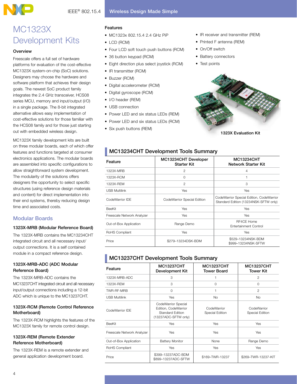# MC1323X Development Kits

# **Overview**

Freescale offers a full set of hardware platforms for evaluation of the cost-effective MC1323X system-on-chip (SoC) solutions. Designers may choose the hardware and software platform that achieves their design goals. The newest SoC product family integrates the 2.4 GHz transceiver, HCS08 series MCU, memory and input/output (I/O) in a single package. The 8-bit integrated alternative allows easy implementation of cost-effective solutions for those familiar with the HCS08 family and for those just starting out with embedded wireless design.

MC1323X family development kits are built on three modular boards, each of which offer features and functions targeted at consumer electronics applications. The modular boards are assembled into specific configurations to allow straightforward system development. The modularity of the solutions offers designers the opportunity to select specific structures (using reference design materials and content) for direct implementation into their end systems, thereby reducing design time and associated costs.

# Modular Boards

# 1323X-MRB (Modular Reference Board)

The 1323X-MRB contains the MC13234CHT integrated circuit and all necessary input/ output connections. It is a self contained module in a compact reference design.

# 1323X-MRB-ADC (ADC Modular Reference Board)

The 1323X-MRB-ADC contains the MC13237CHT integrated circuit and all necessary input/output connections including a 12-bit ADC which is unique to the MC13237CHT.

# 1323X-RCM (Remote Control Reference Motherboard)

The 1323X-RCM highlights the features of the MC1323X family for remote control design.

# 1323X-REM (Remote Extender Reference Motherboard)

The 1323X-REM is a remote extender and general application development board.

# Features

- • MC1323x 802.15.4 2.4 GHz PiP
- • LCD (RCM)
- Four LCD soft touch push buttons (RCM)
- 36 button keypad (RCM)
- • Eight direction plus select joystick (RCM)
- IR transmitter (RCM)
- Buzzer (RCM)
- • Digital accelerometer (RCM)
- • Digital gyroscope (RCM)
- I/O header (REM)
- USB connection
- Power LED and six status LEDs (REM)
- Power LED and six status LEDs (RCM)
- Six push buttons (REM)
- IR receiver and transmitter (REM)
- Printed F antenna (REM)
- On/Off switch
- Battery connectors
- Test points



# MC13234CHT Development Tools Summary

| Feature                    | MC13234CHT Developer<br><b>Starter Kit</b> | <b>MC13234CHT</b><br>Network Starter Kit                                          |
|----------------------------|--------------------------------------------|-----------------------------------------------------------------------------------|
| 1323X-MRB                  | $\mathcal{P}$                              | $\overline{4}$                                                                    |
| 1323X-RCM                  | $\Omega$                                   | 1                                                                                 |
| 1323X-REM                  | $\overline{2}$                             | 3                                                                                 |
| <b>USB Multilink</b>       | Yes                                        | Yes                                                                               |
| CodeWarrior IDE            | CodeWarrior Special Edition                | CodeWarrior Special Edition, CodeWarrior<br>Standard Edition (13234NSK-SFTW only) |
| BeeKit                     | Yes                                        | Yes                                                                               |
| Freescale Network Analyzer | Yes                                        | Yes                                                                               |
| Out-of-Box Application     | Range Demo                                 | RF4CE Home<br>Entertainment Control                                               |
| RoHS Compliant             | Yes                                        | Yes                                                                               |
| Price                      | \$279-13234DSK-BDM                         | \$529-13234NSK-BDM<br>\$999-13234NSK-SFTW                                         |

# **MC13237CHT Development Tools Summary**

| Feature                    | <b>MC13237CHT</b><br>Development Kit                                                    | <b>MC13237CHT</b><br><b>Tower Board</b> | <b>MC13237CHT</b><br><b>Tower Kit</b> |
|----------------------------|-----------------------------------------------------------------------------------------|-----------------------------------------|---------------------------------------|
| 1323X-MRB-ADC              | 3                                                                                       |                                         | $\mathcal{P}$                         |
| 1323X-REM                  | 3                                                                                       | 0                                       | $\circ$                               |
| TWR-RF-MRB                 | $\circ$                                                                                 | 1                                       | $\overline{c}$                        |
| <b>USB Multilink</b>       | Yes                                                                                     | <b>No</b>                               | <b>No</b>                             |
| CodeWarrior IDE            | CodeWarrior Special<br>Edition, CodeWarrior<br>Standard Edition<br>(13237ADC-SFTW only) | CodeWarrior<br>Special Edition          | CodeWarrior<br>Special Edition        |
| <b>BeeKit</b>              | Yes                                                                                     | Yes                                     | Yes                                   |
| Freescale Network Analyzer | Yes                                                                                     | Yes                                     | Yes                                   |
| Out-of-Box Application     | <b>Battery Monitor</b>                                                                  | None                                    | Range Demo                            |
| RoHS Compliant             | Yes                                                                                     | Yes                                     | Yes                                   |
| Price                      | \$399-13237ADC-BDM<br>\$899-13237ADC-SFTW                                               | \$169-TWR-13237                         | \$269-TWR-13237-KIT                   |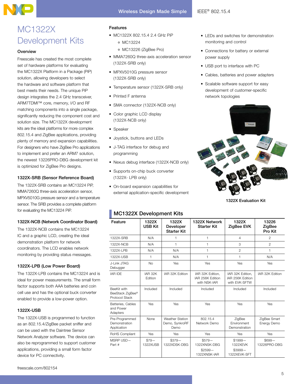# Wireless Design Made Simple | IEEE® 802.15.4

# MC1322X Development Kits

## **Overview**

Freescale has created the most complete set of hardware platforms for evaluating the MC1322X Platform in a Package (PiP) solution, allowing developers to select the hardware and software platform that best meets their needs. The unique PiP design integrates the 2.4 GHz transceiver, ARM7TDMI™ core, memory, I/O and RF matching components into a single package, significantly reducing the component cost and solution size. The MC1322X development kits are the ideal platforms for more complex 802.15.4 and ZigBee applications, providing plenty of memory and expansion capabilities. For designers who have ZigBee Pro applications to implement and prefer an ARM7 solution, the newest 13226PRO-DBG development kit is optimized for ZigBee Pro designs.

# 1322X-SRB (Sensor Reference Board)

The 1322X-SRB contains an MC13224 PiP, MMA7260Q three-axis acceleration sensor, MPXV5010G pressure sensor and a temperature sensor. The SRB provides a complete platform for evaluating the MC13224 PiP.

# 1322X-NCB (Network Coordinator Board)

The 1322X-NCB contains the MC13224 IC and a graphic LCD, creating the ideal demonstration platform for network coordinators. The LCD enables network monitoring by providing status messages.

# 1322X-LPB (Low Power Board)

The 1322X-LPB contains the MC13224 and is ideal for power measurements. The small form factor supports both AAA batteries and coin cell use and has the optional buck converter enabled to provide a low-power option.

#### 1322X-USB

The 1322X-USB is programmed to function as an 802.15.4/ZigBee packet sniffer and can be used with the Daintree Sensor Network Analyzer software. The device can also be reprogrammed to support customer applications, providing a small form factor device for PC connectivity.

# Features

- • MC1322X 802.15.4 2.4 GHz PiP
	- MC13224
	- MC13226 (ZigBee Pro)
- MMA7260Q three-axis acceleration sensor (1322X-SRB only)
- MPXV5010G pressure sensor (1322X-SRB only)
- Temperature sensor (1322X-SRB only)
- Printed F antenna
- SMA connector (1322X-NCB only)
- Color graphic LCD display (1322X-NCB only)
- Speaker
- • Joystick, buttons and LEDs
- • J-TAG interface for debug and programming
- Nexus debug interface (1322X-NCB only)
- Supports on-chip buck converter (1322X- LPB only)
- • On-board expansion capabilities for external application-specific development

# MC1322X Development Kits

| Feature                                                  | 1322X<br><b>USB Kit</b> | 1322X<br>Developer<br><b>Starter Kit</b>         | 1322X Network<br><b>Starter Kit</b>                  | 1322X<br>ZigBee EVK                                   | 13226<br>ZigBee<br>Pro Kit  |
|----------------------------------------------------------|-------------------------|--------------------------------------------------|------------------------------------------------------|-------------------------------------------------------|-----------------------------|
| 1322X-SRB                                                | N/A                     | 1                                                | 1                                                    | $\overline{4}$                                        | $\overline{2}$              |
| 1322X-NCB                                                | N/A                     | 1                                                | 1                                                    | 3                                                     | $\overline{2}$              |
| 1322X-LPB                                                | N/A                     | N/A                                              | 1                                                    | $\overline{2}$                                        | 1                           |
| 1322X-USB                                                | 1                       | N/A                                              | 1                                                    | 1                                                     | N/A                         |
| J-Link JTAG<br>Debugger                                  | <b>No</b>               | Yes                                              | Yes                                                  | Yes                                                   | Yes                         |
| <b>IAR IDE</b>                                           | IAR 32K<br>Edition      | IAR 32K Edition                                  | IAR 32K Edition,<br>IAR 256K Edition<br>with NSK-IAR | IAR 32K Edition,<br>IAR 256K Edition<br>with EVK-SFTW | IAR 32K Edition             |
| <b>BeeKit with</b><br>BeeStack ZigBee®<br>Protocol Stack | Included                | Included                                         | Included                                             | Included                                              | Included                    |
| Batteries, Cables<br>and Power<br>Adapters               | Yes                     | Yes                                              | Yes                                                  | Yes                                                   | Yes                         |
| Pre-Programmed<br>Demonstration<br>Application           | None                    | <b>Weather Station</b><br>Demo, SynkroRF<br>Demo | 802.15.4<br>Network Demo                             | ZigBee<br>Environment<br>Demonstration                | ZigBee Smart<br>Energy Demo |
| RoHS Compliant                                           | Yes                     | Yes                                              | Yes                                                  | Yes                                                   | Yes                         |
| MSRP USD-<br>Part #                                      | $$79-$<br>1322XUSB      | $$379-$<br>1322XDSK-DBG                          | $$579-$<br>1322XNSK-DBG<br>$$2599-$<br>1322XNSK-IAR  | $$1999-$<br>1322XEVK<br>$$3999-$<br>1322XEVK-SFT      | $$699-$<br>13226PRO-DBG     |

- LEDs and switches for demonstration monitoring and control
- • Connections for battery or external power supply
- USB port to interface with PC
- • Cables, batteries and power adapters
- Scalable software support for easy development of customer-specific network topologies



1322X Evaluation Kit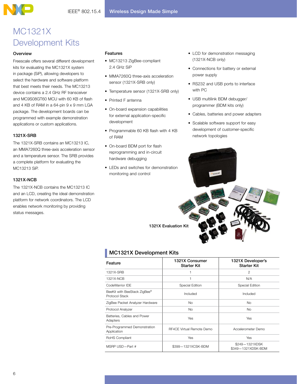# MC1321X Development Kits

# **Overview**

Freescale offers several different development kits for evaluating the MC1321X system in package (SiP), allowing developers to select the hardware and software platform that best meets their needs. The MC13213 device contains a 2.4 GHz RF transceiver and MC9S08GT60 MCU with 60 KB of flash and 4 KB of RAM in a 64-pin 9 x 9 mm LGA package. The development boards can be programmed with example demonstration applications or custom applications.

# 1321X-SRB

The 1321X-SRB contains an MC13213 IC, an MMA7260Q three-axis acceleration sensor and a temperature sensor. The SRB provides a complete platform for evaluating the MC13213 SiP.

# 1321X-NCB

The 1321X-NCB contains the MC13213 IC and an LCD, creating the ideal demonstration platform for network coordinators. The LCD enables network monitoring by providing status messages.

## Features

- • MC13213 ZigBee-compliant 2.4 GHz SiP
- MMA7260Q three-axis acceleration sensor (1321X-SRB only)
- Temperature sensor (1321X-SRB only)
- Printed F antenna
- On-board expansion capabilities for external application-specific development
- Programmable 60 KB flash with 4 KB of RAM
- On-board BDM port for flash reprogramming and in-circuit hardware debugging
- • LEDs and switches for demonstration monitoring and control
- LCD for demonstration messaging (1321X-NCB only)
- • Connections for battery or external power supply
- RS232 and USB ports to interface with PC
- USB multilink BDM debugger/ programmer (BDM kits only)
- • Cables, batteries and power adapters
- Scalable software support for easy development of customer-specific network topologies



1321X Evaluation Kit

# **MC1321X Development Kits**

| Feature                                        | 1321X Consumer<br><b>Starter Kit</b> | 1321X Developer's<br><b>Starter Kit</b> |  |
|------------------------------------------------|--------------------------------------|-----------------------------------------|--|
| 1321X-SRB                                      | 1                                    | $\mathcal{P}$                           |  |
| 1321X-NCB                                      | 1                                    | N/A                                     |  |
| CodeWarrior IDE                                | Special Edition                      | Special Edition                         |  |
| BeeKit with BeeStack ZigBee®<br>Protocol Stack | Included                             | Included                                |  |
| ZigBee Packet Analyzer Hardware                | <b>No</b>                            | <b>No</b>                               |  |
| Protocol Analyzer                              | <b>No</b>                            | <b>No</b>                               |  |
| Batteries, Cables and Power<br>Adapters        | Yes                                  | Yes                                     |  |
| Pre-Programmed Demonstration<br>Application    | RF4CE Virtual Remote Demo            | Accelerometer Demo                      |  |
| RoHS Compliant                                 | Yes                                  | Yes                                     |  |
| MSRP $USD$ -Part #                             | \$399-1321XCSK-BDM                   | \$249-1321XDSK<br>\$349-1321XDSK-BDM    |  |